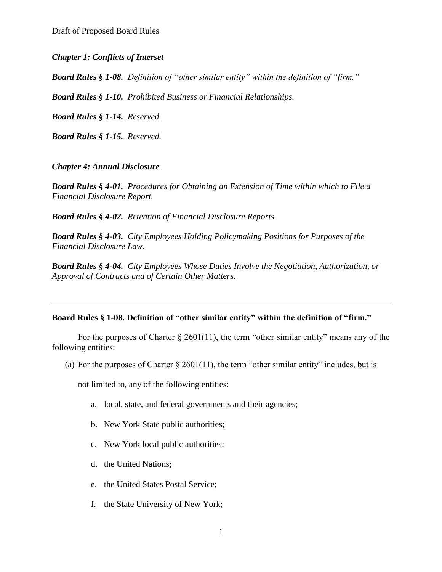### *Chapter 1: Conflicts of Interset*

*Board Rules § 1-08. Definition of "other similar entity" within the definition of "firm."*

*Board Rules § 1-10. Prohibited Business or Financial Relationships.*

*Board Rules § 1-14. Reserved.*

*Board Rules § 1-15. Reserved.*

#### *Chapter 4: Annual Disclosure*

*Board Rules § 4-01. Procedures for Obtaining an Extension of Time within which to File a Financial Disclosure Report.*

*Board Rules § 4-02. Retention of Financial Disclosure Reports.*

*Board Rules § 4-03. City Employees Holding Policymaking Positions for Purposes of the Financial Disclosure Law.*

*Board Rules § 4-04. City Employees Whose Duties Involve the Negotiation, Authorization, or Approval of Contracts and of Certain Other Matters.*

#### **Board Rules § 1-08. Definition of "other similar entity" within the definition of "firm."**

For the purposes of Charter  $\S 2601(11)$ , the term "other similar entity" means any of the following entities:

(a) For the purposes of Charter  $\S 2601(11)$ , the term "other similar entity" includes, but is

not limited to, any of the following entities:

- a. local, state, and federal governments and their agencies;
- b. New York State public authorities;
- c. New York local public authorities;
- d. the United Nations;
- e. the United States Postal Service;
- f. the State University of New York;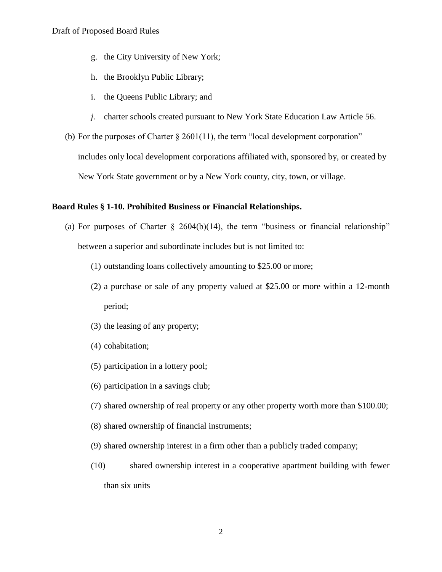- g. the City University of New York;
- h. the Brooklyn Public Library;
- i. the Queens Public Library; and
- *j.* charter schools created pursuant to New York State Education Law Article 56.
- (b) For the purposes of Charter  $\S 2601(11)$ , the term "local development corporation" includes only local development corporations affiliated with, sponsored by, or created by New York State government or by a New York county, city, town, or village.

#### **Board Rules § 1-10. Prohibited Business or Financial Relationships.**

- (a) For purposes of Charter  $\S$  2604(b)(14), the term "business or financial relationship" between a superior and subordinate includes but is not limited to:
	- (1) outstanding loans collectively amounting to \$25.00 or more;
	- (2) a purchase or sale of any property valued at \$25.00 or more within a 12-month period;
	- (3) the leasing of any property;
	- (4) cohabitation;
	- (5) participation in a lottery pool;
	- (6) participation in a savings club;
	- (7) shared ownership of real property or any other property worth more than \$100.00;
	- (8) shared ownership of financial instruments;
	- (9) shared ownership interest in a firm other than a publicly traded company;
	- (10) shared ownership interest in a cooperative apartment building with fewer than six units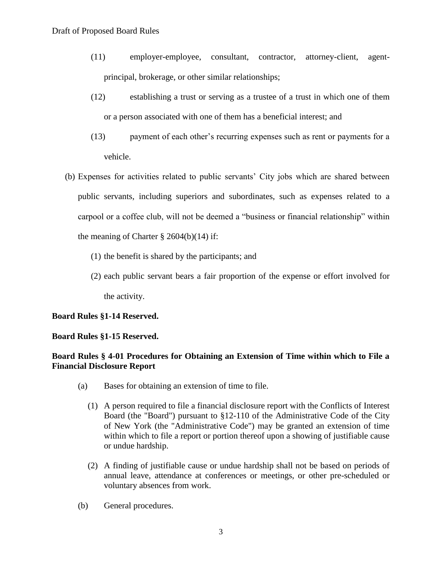- (11) employer-employee, consultant, contractor, attorney-client, agentprincipal, brokerage, or other similar relationships;
- (12) establishing a trust or serving as a trustee of a trust in which one of them or a person associated with one of them has a beneficial interest; and
- (13) payment of each other's recurring expenses such as rent or payments for a vehicle.
- (b) Expenses for activities related to public servants' City jobs which are shared between public servants, including superiors and subordinates, such as expenses related to a carpool or a coffee club, will not be deemed a "business or financial relationship" within the meaning of Charter  $\S 2604(b)(14)$  if:
	- (1) the benefit is shared by the participants; and
	- (2) each public servant bears a fair proportion of the expense or effort involved for the activity.

# **Board Rules §1-14 Reserved.**

### **Board Rules §1-15 Reserved.**

# **Board Rules § 4-01 Procedures for Obtaining an Extension of Time within which to File a Financial Disclosure Report**

- (a) Bases for obtaining an extension of time to file.
	- (1) A person required to file a financial disclosure report with the Conflicts of Interest Board (the "Board") pursuant to §12-110 of the Administrative Code of the City of New York (the "Administrative Code") may be granted an extension of time within which to file a report or portion thereof upon a showing of justifiable cause or undue hardship.
	- (2) A finding of justifiable cause or undue hardship shall not be based on periods of annual leave, attendance at conferences or meetings, or other pre-scheduled or voluntary absences from work.
- (b) General procedures.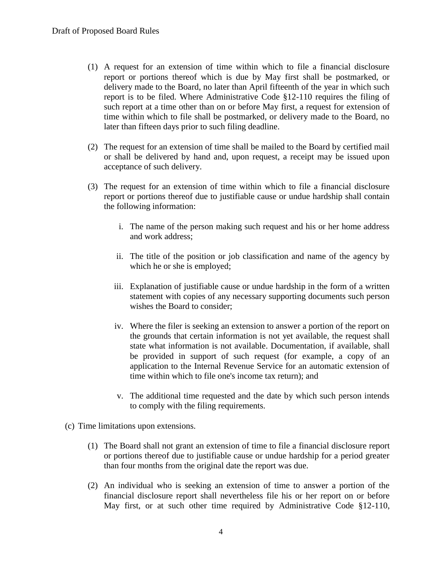- (1) A request for an extension of time within which to file a financial disclosure report or portions thereof which is due by May first shall be postmarked, or delivery made to the Board, no later than April fifteenth of the year in which such report is to be filed. Where Administrative Code §12-110 requires the filing of such report at a time other than on or before May first, a request for extension of time within which to file shall be postmarked, or delivery made to the Board, no later than fifteen days prior to such filing deadline.
- (2) The request for an extension of time shall be mailed to the Board by certified mail or shall be delivered by hand and, upon request, a receipt may be issued upon acceptance of such delivery.
- (3) The request for an extension of time within which to file a financial disclosure report or portions thereof due to justifiable cause or undue hardship shall contain the following information:
	- i. The name of the person making such request and his or her home address and work address;
	- ii. The title of the position or job classification and name of the agency by which he or she is employed;
	- iii. Explanation of justifiable cause or undue hardship in the form of a written statement with copies of any necessary supporting documents such person wishes the Board to consider;
	- iv. Where the filer is seeking an extension to answer a portion of the report on the grounds that certain information is not yet available, the request shall state what information is not available. Documentation, if available, shall be provided in support of such request (for example, a copy of an application to the Internal Revenue Service for an automatic extension of time within which to file one's income tax return); and
	- v. The additional time requested and the date by which such person intends to comply with the filing requirements.
- (c) Time limitations upon extensions.
	- (1) The Board shall not grant an extension of time to file a financial disclosure report or portions thereof due to justifiable cause or undue hardship for a period greater than four months from the original date the report was due.
	- (2) An individual who is seeking an extension of time to answer a portion of the financial disclosure report shall nevertheless file his or her report on or before May first, or at such other time required by Administrative Code §12-110,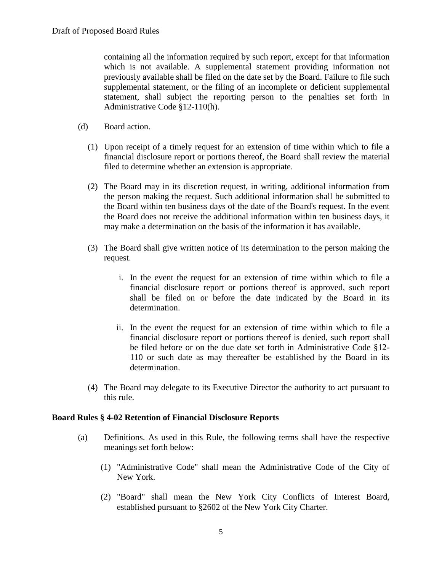containing all the information required by such report, except for that information which is not available. A supplemental statement providing information not previously available shall be filed on the date set by the Board. Failure to file such supplemental statement, or the filing of an incomplete or deficient supplemental statement, shall subject the reporting person to the penalties set forth in Administrative Code §12-110(h).

- (d) Board action.
	- (1) Upon receipt of a timely request for an extension of time within which to file a financial disclosure report or portions thereof, the Board shall review the material filed to determine whether an extension is appropriate.
	- (2) The Board may in its discretion request, in writing, additional information from the person making the request. Such additional information shall be submitted to the Board within ten business days of the date of the Board's request. In the event the Board does not receive the additional information within ten business days, it may make a determination on the basis of the information it has available.
	- (3) The Board shall give written notice of its determination to the person making the request.
		- i. In the event the request for an extension of time within which to file a financial disclosure report or portions thereof is approved, such report shall be filed on or before the date indicated by the Board in its determination.
		- ii. In the event the request for an extension of time within which to file a financial disclosure report or portions thereof is denied, such report shall be filed before or on the due date set forth in Administrative Code §12- 110 or such date as may thereafter be established by the Board in its determination.
	- (4) The Board may delegate to its Executive Director the authority to act pursuant to this rule.

### **Board Rules § 4-02 Retention of Financial Disclosure Reports**

- (a) Definitions. As used in this Rule, the following terms shall have the respective meanings set forth below:
	- (1) "Administrative Code" shall mean the Administrative Code of the City of New York.
	- (2) "Board" shall mean the New York City Conflicts of Interest Board, established pursuant to §2602 of the New York City Charter.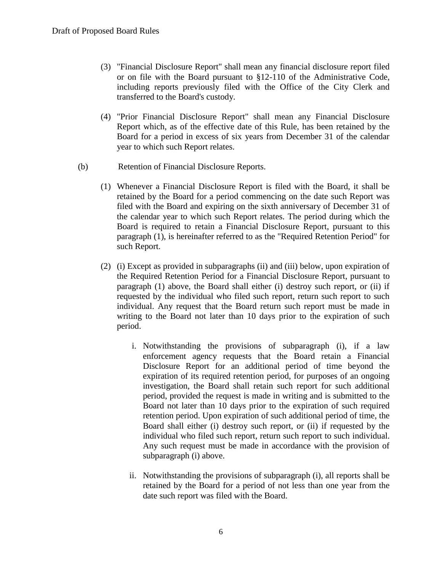- (3) "Financial Disclosure Report" shall mean any financial disclosure report filed or on file with the Board pursuant to §12-110 of the Administrative Code, including reports previously filed with the Office of the City Clerk and transferred to the Board's custody.
- (4) "Prior Financial Disclosure Report" shall mean any Financial Disclosure Report which, as of the effective date of this Rule, has been retained by the Board for a period in excess of six years from December 31 of the calendar year to which such Report relates.
- (b) Retention of Financial Disclosure Reports.
	- (1) Whenever a Financial Disclosure Report is filed with the Board, it shall be retained by the Board for a period commencing on the date such Report was filed with the Board and expiring on the sixth anniversary of December 31 of the calendar year to which such Report relates. The period during which the Board is required to retain a Financial Disclosure Report, pursuant to this paragraph (1), is hereinafter referred to as the "Required Retention Period" for such Report.
	- (2) (i) Except as provided in subparagraphs (ii) and (iii) below, upon expiration of the Required Retention Period for a Financial Disclosure Report, pursuant to paragraph (1) above, the Board shall either (i) destroy such report, or (ii) if requested by the individual who filed such report, return such report to such individual. Any request that the Board return such report must be made in writing to the Board not later than 10 days prior to the expiration of such period.
		- i. Notwithstanding the provisions of subparagraph (i), if a law enforcement agency requests that the Board retain a Financial Disclosure Report for an additional period of time beyond the expiration of its required retention period, for purposes of an ongoing investigation, the Board shall retain such report for such additional period, provided the request is made in writing and is submitted to the Board not later than 10 days prior to the expiration of such required retention period. Upon expiration of such additional period of time, the Board shall either (i) destroy such report, or (ii) if requested by the individual who filed such report, return such report to such individual. Any such request must be made in accordance with the provision of subparagraph (i) above.
		- ii. Notwithstanding the provisions of subparagraph (i), all reports shall be retained by the Board for a period of not less than one year from the date such report was filed with the Board.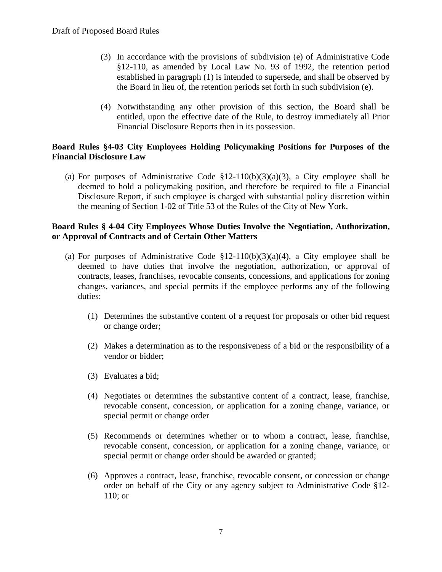- (3) In accordance with the provisions of subdivision (e) of Administrative Code §12-110, as amended by Local Law No. 93 of 1992, the retention period established in paragraph (1) is intended to supersede, and shall be observed by the Board in lieu of, the retention periods set forth in such subdivision (e).
- (4) Notwithstanding any other provision of this section, the Board shall be entitled, upon the effective date of the Rule, to destroy immediately all Prior Financial Disclosure Reports then in its possession.

### **Board Rules §4-03 City Employees Holding Policymaking Positions for Purposes of the Financial Disclosure Law**

(a) For purposes of Administrative Code  $\S 12-110(b)(3)(a)(3)$ , a City employee shall be deemed to hold a policymaking position, and therefore be required to file a Financial Disclosure Report, if such employee is charged with substantial policy discretion within the meaning of Section 1-02 of Title 53 of the Rules of the City of New York.

### **Board Rules § 4-04 City Employees Whose Duties Involve the Negotiation, Authorization, or Approval of Contracts and of Certain Other Matters**

- (a) For purposes of Administrative Code  $$12-110(b)(3)(a)(4)$ , a City employee shall be deemed to have duties that involve the negotiation, authorization, or approval of contracts, leases, franchises, revocable consents, concessions, and applications for zoning changes, variances, and special permits if the employee performs any of the following duties:
	- (1) Determines the substantive content of a request for proposals or other bid request or change order;
	- (2) Makes a determination as to the responsiveness of a bid or the responsibility of a vendor or bidder;
	- (3) Evaluates a bid;
	- (4) Negotiates or determines the substantive content of a contract, lease, franchise, revocable consent, concession, or application for a zoning change, variance, or special permit or change order
	- (5) Recommends or determines whether or to whom a contract, lease, franchise, revocable consent, concession, or application for a zoning change, variance, or special permit or change order should be awarded or granted;
	- (6) Approves a contract, lease, franchise, revocable consent, or concession or change order on behalf of the City or any agency subject to Administrative Code §12- 110; or